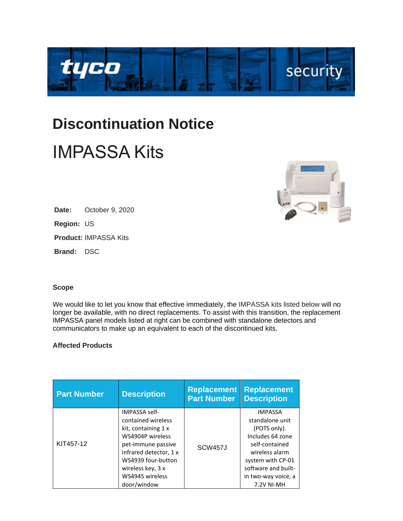

## **Discontinuation Notice** IMPASSA Kits



**Region:** US

**Product:** IMPASSA Kits

**Brand:** DSC

## **Scope**

We would like to let you know that effective immediately, the IMPASSA kits listed below will no longer be available, with no direct replacements. To assist with this transition, the replacement IMPASSA panel models listed at right can be combined with standalone detectors and communicators to make up an equivalent to each of the discontinued kits.

## **Affected Products**

| <b>Part Number</b> | <b>Description</b>                                                                                                                                                                                                 | <b>Replacement</b><br><b>Part Number</b> | <b>Replacement</b><br><b>Description</b>                                                                                                                                                   |
|--------------------|--------------------------------------------------------------------------------------------------------------------------------------------------------------------------------------------------------------------|------------------------------------------|--------------------------------------------------------------------------------------------------------------------------------------------------------------------------------------------|
| KIT457-12          | <b>IMPASSA self-</b><br>contained wireless<br>kit, containing 1 x<br>WS4904P wireless<br>pet-immune passive<br>infrared detector, 1 x<br>WS4939 four-button<br>wireless key, 3 x<br>WS4945 wireless<br>door/window | SCW <sub>457</sub> J                     | <b>IMPASSA</b><br>standalone unit<br>(POTS only).<br>Includes 64 zone<br>self-contained<br>wireless alarm<br>system with CP-01<br>software and built-<br>in two-way voice, a<br>7.2V NI-MH |

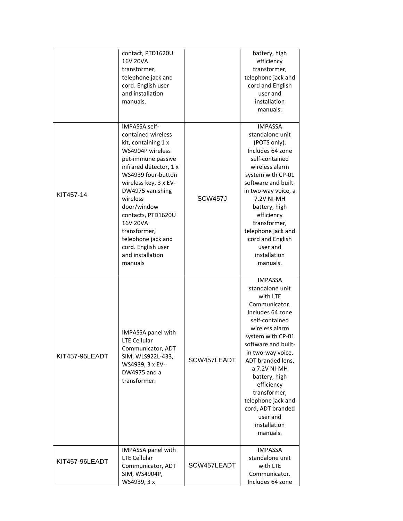|                | contact, PTD1620U<br><b>16V 20VA</b><br>transformer,<br>telephone jack and<br>cord. English user<br>and installation<br>manuals.                                                                                                                                                                                                                                 |                | battery, high<br>efficiency<br>transformer,<br>telephone jack and<br>cord and English<br>user and<br>installation<br>manuals.                                                                                                                                                                                                                                  |
|----------------|------------------------------------------------------------------------------------------------------------------------------------------------------------------------------------------------------------------------------------------------------------------------------------------------------------------------------------------------------------------|----------------|----------------------------------------------------------------------------------------------------------------------------------------------------------------------------------------------------------------------------------------------------------------------------------------------------------------------------------------------------------------|
| KIT457-14      | IMPASSA self-<br>contained wireless<br>kit, containing 1 x<br>WS4904P wireless<br>pet-immune passive<br>infrared detector, 1 x<br>WS4939 four-button<br>wireless key, 3 x EV-<br>DW4975 vanishing<br>wireless<br>door/window<br>contacts, PTD1620U<br><b>16V 20VA</b><br>transformer,<br>telephone jack and<br>cord. English user<br>and installation<br>manuals | <b>SCW457J</b> | <b>IMPASSA</b><br>standalone unit<br>(POTS only).<br>Includes 64 zone<br>self-contained<br>wireless alarm<br>system with CP-01<br>software and built-<br>in two-way voice, a<br>7.2V NI-MH<br>battery, high<br>efficiency<br>transformer,<br>telephone jack and<br>cord and English<br>user and<br>installation<br>manuals.                                    |
| KIT457-95LEADT | <b>IMPASSA panel with</b><br><b>LTE Cellular</b><br>Communicator, ADT<br>SIM, WLS922L-433,<br>WS4939, 3 x EV-<br>DW4975 and a<br>transformer.                                                                                                                                                                                                                    | SCW457LEADT    | <b>IMPASSA</b><br>standalone unit<br>with LTE<br>Communicator.<br>Includes 64 zone<br>self-contained<br>wireless alarm<br>system with CP-01<br>software and built-<br>in two-way voice,<br>ADT branded lens,<br>a 7.2V NI-MH<br>battery, high<br>efficiency<br>transformer,<br>telephone jack and<br>cord, ADT branded<br>user and<br>installation<br>manuals. |
| KIT457-96LEADT | IMPASSA panel with<br><b>LTE Cellular</b><br>Communicator, ADT<br>SIM, WS4904P,                                                                                                                                                                                                                                                                                  | SCW457LEADT    | <b>IMPASSA</b><br>standalone unit<br>with LTE<br>Communicator.                                                                                                                                                                                                                                                                                                 |
|                | WS4939, 3 x                                                                                                                                                                                                                                                                                                                                                      |                | Includes 64 zone                                                                                                                                                                                                                                                                                                                                               |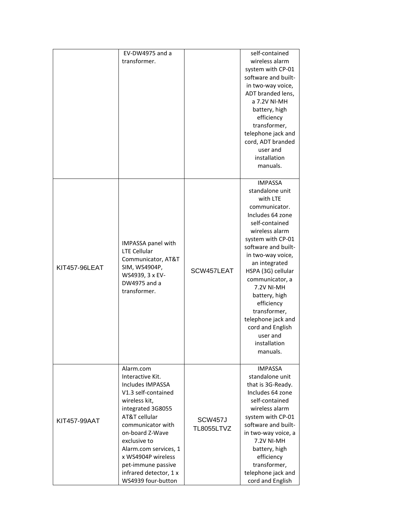|                      | EV-DW4975 and a<br>transformer.                                                                                                                                                                                                                                                                                     |                                           | self-contained<br>wireless alarm<br>system with CP-01<br>software and built-<br>in two-way voice,<br>ADT branded lens,<br>a 7.2V NI-MH<br>battery, high<br>efficiency                                                                                                                                                                                                                                   |
|----------------------|---------------------------------------------------------------------------------------------------------------------------------------------------------------------------------------------------------------------------------------------------------------------------------------------------------------------|-------------------------------------------|---------------------------------------------------------------------------------------------------------------------------------------------------------------------------------------------------------------------------------------------------------------------------------------------------------------------------------------------------------------------------------------------------------|
|                      |                                                                                                                                                                                                                                                                                                                     |                                           | transformer,<br>telephone jack and<br>cord, ADT branded<br>user and<br>installation<br>manuals.                                                                                                                                                                                                                                                                                                         |
| <b>KIT457-96LEAT</b> | IMPASSA panel with<br><b>LTE Cellular</b><br>Communicator, AT&T<br>SIM, WS4904P,<br>WS4939, 3 x EV-<br>DW4975 and a<br>transformer.                                                                                                                                                                                 | SCW457LEAT                                | <b>IMPASSA</b><br>standalone unit<br>with LTE<br>communicator.<br>Includes 64 zone<br>self-contained<br>wireless alarm<br>system with CP-01<br>software and built-<br>in two-way voice,<br>an integrated<br>HSPA (3G) cellular<br>communicator, a<br><b>7.2V NI-MH</b><br>battery, high<br>efficiency<br>transformer,<br>telephone jack and<br>cord and English<br>user and<br>installation<br>manuals. |
| KIT457-99AAT         | Alarm.com<br>Interactive Kit.<br><b>Includes IMPASSA</b><br>V1.3 self-contained<br>wireless kit,<br>integrated 3G8055<br>AT&T cellular<br>communicator with<br>on-board Z-Wave<br>exclusive to<br>Alarm.com services, 1<br>x WS4904P wireless<br>pet-immune passive<br>infrared detector, 1 x<br>WS4939 four-button | SCW <sub>457</sub> J<br><b>TL8055LTVZ</b> | <b>IMPASSA</b><br>standalone unit<br>that is 3G-Ready.<br>Includes 64 zone<br>self-contained<br>wireless alarm<br>system with CP-01<br>software and built-<br>in two-way voice, a<br><b>7.2V NI-MH</b><br>battery, high<br>efficiency<br>transformer,<br>telephone jack and<br>cord and English                                                                                                         |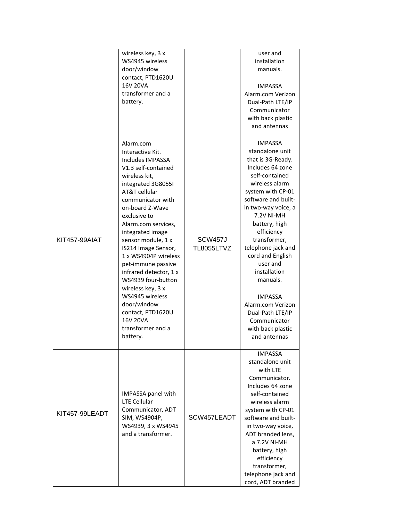| wireless key, 3 x<br>WS4945 wireless<br>door/window<br>contact, PTD1620U<br><b>16V 20VA</b><br>transformer and a |                                          |             | user and<br>installation<br>manuals.  |
|------------------------------------------------------------------------------------------------------------------|------------------------------------------|-------------|---------------------------------------|
|                                                                                                                  |                                          |             | <b>IMPASSA</b><br>Alarm.com Verizon   |
|                                                                                                                  | battery.                                 |             | Dual-Path LTE/IP                      |
|                                                                                                                  |                                          |             | Communicator                          |
|                                                                                                                  |                                          |             | with back plastic                     |
|                                                                                                                  |                                          |             | and antennas                          |
|                                                                                                                  | Alarm.com                                |             | <b>IMPASSA</b>                        |
|                                                                                                                  | Interactive Kit.                         |             | standalone unit                       |
|                                                                                                                  | Includes IMPASSA                         |             | that is 3G-Ready.                     |
|                                                                                                                  | V1.3 self-contained                      |             | Includes 64 zone<br>self-contained    |
|                                                                                                                  | wireless kit,<br>integrated 3G8055I      |             | wireless alarm                        |
|                                                                                                                  | AT&T cellular                            |             | system with CP-01                     |
|                                                                                                                  | communicator with                        |             | software and built-                   |
|                                                                                                                  | on-board Z-Wave                          |             | in two-way voice, a                   |
|                                                                                                                  | exclusive to                             |             | 7.2V NI-MH                            |
|                                                                                                                  | Alarm.com services,                      |             | battery, high                         |
|                                                                                                                  | integrated image                         |             | efficiency                            |
| KIT457-99AIAT                                                                                                    | sensor module, 1 x                       | SCW457J     | transformer,                          |
|                                                                                                                  | IS214 Image Sensor,                      | TL8055LTVZ  | telephone jack and                    |
|                                                                                                                  | 1 x WS4904P wireless                     |             | cord and English                      |
|                                                                                                                  | pet-immune passive                       |             | user and                              |
|                                                                                                                  | infrared detector, 1 x                   |             | installation                          |
|                                                                                                                  | WS4939 four-button                       |             | manuals.                              |
|                                                                                                                  | wireless key, 3 x                        |             |                                       |
|                                                                                                                  | WS4945 wireless                          |             | <b>IMPASSA</b>                        |
|                                                                                                                  | door/window<br>contact, PTD1620U         |             | Alarm.com Verizon<br>Dual-Path LTE/IP |
|                                                                                                                  | <b>16V 20VA</b>                          |             | Communicator                          |
|                                                                                                                  | transformer and a                        |             | with back plastic                     |
|                                                                                                                  | battery.                                 |             | and antennas                          |
|                                                                                                                  |                                          |             |                                       |
|                                                                                                                  | IMPASSA panel with                       |             | <b>IMPASSA</b>                        |
|                                                                                                                  |                                          |             | standalone unit                       |
|                                                                                                                  |                                          |             | with LTE<br>Communicator.             |
| KIT457-99LEADT                                                                                                   |                                          |             | Includes 64 zone                      |
|                                                                                                                  |                                          |             | self-contained                        |
|                                                                                                                  | <b>LTE Cellular</b>                      |             | wireless alarm                        |
|                                                                                                                  | Communicator, ADT                        |             | system with CP-01                     |
|                                                                                                                  | SIM, WS4904P,                            | SCW457LEADT | software and built-                   |
|                                                                                                                  | WS4939, 3 x WS4945<br>and a transformer. |             | in two-way voice,                     |
|                                                                                                                  |                                          |             | ADT branded lens,                     |
|                                                                                                                  |                                          |             | a 7.2V NI-MH                          |
|                                                                                                                  |                                          |             | battery, high                         |
|                                                                                                                  |                                          |             | efficiency                            |
|                                                                                                                  |                                          |             | transformer,                          |
|                                                                                                                  |                                          |             | telephone jack and                    |
|                                                                                                                  |                                          |             | cord, ADT branded                     |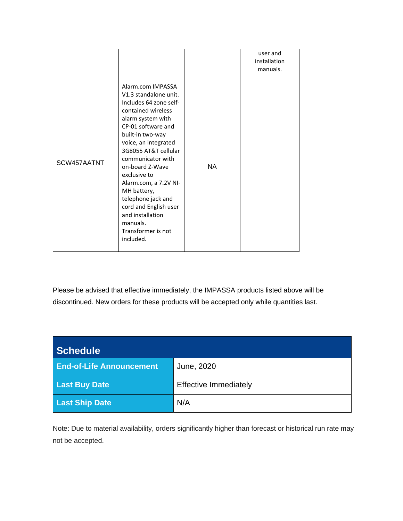|             |                                                                                                                                                                                                                                                                                                                                                                                                                             |           | user and<br>installation<br>manuals. |
|-------------|-----------------------------------------------------------------------------------------------------------------------------------------------------------------------------------------------------------------------------------------------------------------------------------------------------------------------------------------------------------------------------------------------------------------------------|-----------|--------------------------------------|
| SCW457AATNT | Alarm.com IMPASSA<br>V1.3 standalone unit.<br>Includes 64 zone self-<br>contained wireless<br>alarm system with<br>CP-01 software and<br>built-in two-way<br>voice, an integrated<br>3G8055 AT&T cellular<br>communicator with<br>on-board Z-Wave<br>exclusive to<br>Alarm.com, a 7.2V NI-<br>MH battery,<br>telephone jack and<br>cord and English user<br>and installation<br>manuals.<br>Transformer is not<br>included. | <b>NA</b> |                                      |

Please be advised that effective immediately, the IMPASSA products listed above will be discontinued. New orders for these products will be accepted only while quantities last.

| <b>Schedule</b>                 |                              |  |
|---------------------------------|------------------------------|--|
| <b>End-of-Life Announcement</b> | June, 2020                   |  |
| <b>Last Buy Date</b>            | <b>Effective Immediately</b> |  |
| <b>Last Ship Date</b>           | N/A                          |  |

Note: Due to material availability, orders significantly higher than forecast or historical run rate may not be accepted.